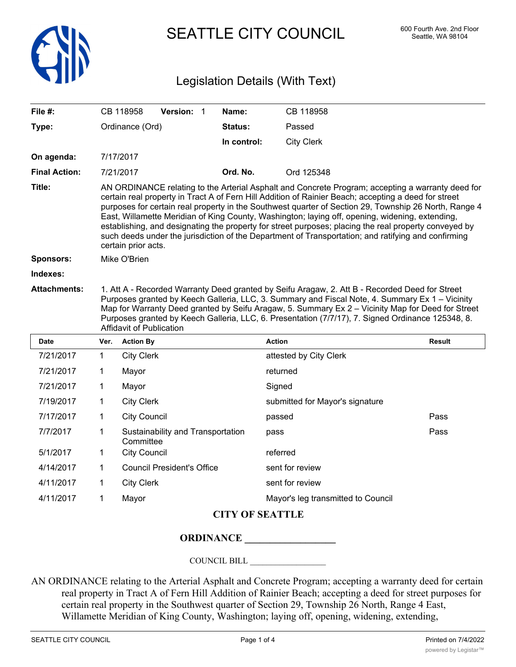

SEATTLE CITY COUNCIL 600 Fourth Ave. 2nd Floor

## Legislation Details (With Text)

| File #:              |                                                                                                                                                                                                                                                                                                                                                                                                                                                                                                                                                                                                                                                              | CB 118958           | Version: 1                        |  | Name:       | CB 118958                          |        |  |  |
|----------------------|--------------------------------------------------------------------------------------------------------------------------------------------------------------------------------------------------------------------------------------------------------------------------------------------------------------------------------------------------------------------------------------------------------------------------------------------------------------------------------------------------------------------------------------------------------------------------------------------------------------------------------------------------------------|---------------------|-----------------------------------|--|-------------|------------------------------------|--------|--|--|
| Type:                | Ordinance (Ord)                                                                                                                                                                                                                                                                                                                                                                                                                                                                                                                                                                                                                                              |                     |                                   |  | Status:     | Passed                             |        |  |  |
|                      |                                                                                                                                                                                                                                                                                                                                                                                                                                                                                                                                                                                                                                                              |                     |                                   |  | In control: | <b>City Clerk</b>                  |        |  |  |
| On agenda:           |                                                                                                                                                                                                                                                                                                                                                                                                                                                                                                                                                                                                                                                              | 7/17/2017           |                                   |  |             |                                    |        |  |  |
| <b>Final Action:</b> |                                                                                                                                                                                                                                                                                                                                                                                                                                                                                                                                                                                                                                                              | 7/21/2017           |                                   |  | Ord. No.    | Ord 125348                         |        |  |  |
| Title:               | AN ORDINANCE relating to the Arterial Asphalt and Concrete Program; accepting a warranty deed for<br>certain real property in Tract A of Fern Hill Addition of Rainier Beach; accepting a deed for street<br>purposes for certain real property in the Southwest quarter of Section 29, Township 26 North, Range 4<br>East, Willamette Meridian of King County, Washington; laying off, opening, widening, extending,<br>establishing, and designating the property for street purposes; placing the real property conveyed by<br>such deeds under the jurisdiction of the Department of Transportation; and ratifying and confirming<br>certain prior acts. |                     |                                   |  |             |                                    |        |  |  |
| <b>Sponsors:</b>     | Mike O'Brien                                                                                                                                                                                                                                                                                                                                                                                                                                                                                                                                                                                                                                                 |                     |                                   |  |             |                                    |        |  |  |
| Indexes:             |                                                                                                                                                                                                                                                                                                                                                                                                                                                                                                                                                                                                                                                              |                     |                                   |  |             |                                    |        |  |  |
| <b>Attachments:</b>  | 1. Att A - Recorded Warranty Deed granted by Seifu Aragaw, 2. Att B - Recorded Deed for Street<br>Purposes granted by Keech Galleria, LLC, 3. Summary and Fiscal Note, 4. Summary Ex 1 - Vicinity<br>Map for Warranty Deed granted by Seifu Aragaw, 5. Summary Ex 2 – Vicinity Map for Deed for Street<br>Purposes granted by Keech Galleria, LLC, 6. Presentation (7/7/17), 7. Signed Ordinance 125348, 8.<br>Affidavit of Publication                                                                                                                                                                                                                      |                     |                                   |  |             |                                    |        |  |  |
| Date                 | Ver.                                                                                                                                                                                                                                                                                                                                                                                                                                                                                                                                                                                                                                                         | <b>Action By</b>    |                                   |  |             | <b>Action</b>                      | Result |  |  |
| 7/21/2017            | 1                                                                                                                                                                                                                                                                                                                                                                                                                                                                                                                                                                                                                                                            | <b>City Clerk</b>   |                                   |  |             | attested by City Clerk             |        |  |  |
| 7/21/2017            | 1                                                                                                                                                                                                                                                                                                                                                                                                                                                                                                                                                                                                                                                            | Mayor               |                                   |  |             | returned                           |        |  |  |
| 7/21/2017            | 1                                                                                                                                                                                                                                                                                                                                                                                                                                                                                                                                                                                                                                                            | Mayor               |                                   |  |             | Signed                             |        |  |  |
| 7/19/2017            | 1                                                                                                                                                                                                                                                                                                                                                                                                                                                                                                                                                                                                                                                            | <b>City Clerk</b>   |                                   |  |             | submitted for Mayor's signature    |        |  |  |
| 7/17/2017            | 1                                                                                                                                                                                                                                                                                                                                                                                                                                                                                                                                                                                                                                                            | <b>City Council</b> |                                   |  |             | passed                             | Pass   |  |  |
| 7/7/2017             | 1                                                                                                                                                                                                                                                                                                                                                                                                                                                                                                                                                                                                                                                            | Committee           | Sustainability and Transportation |  |             | pass                               | Pass   |  |  |
| 5/1/2017             | 1                                                                                                                                                                                                                                                                                                                                                                                                                                                                                                                                                                                                                                                            | <b>City Council</b> |                                   |  |             | referred                           |        |  |  |
| 4/14/2017            | 1                                                                                                                                                                                                                                                                                                                                                                                                                                                                                                                                                                                                                                                            |                     | <b>Council President's Office</b> |  |             | sent for review                    |        |  |  |
| 4/11/2017            | 1                                                                                                                                                                                                                                                                                                                                                                                                                                                                                                                                                                                                                                                            | <b>City Clerk</b>   |                                   |  |             | sent for review                    |        |  |  |
| 4/11/2017            | 1                                                                                                                                                                                                                                                                                                                                                                                                                                                                                                                                                                                                                                                            | Mayor               |                                   |  |             | Mayor's leg transmitted to Council |        |  |  |

## **CITY OF SEATTLE**

## **ORDINANCE \_\_\_\_\_\_\_\_\_\_\_\_\_\_\_\_\_\_**

COUNCIL BILL \_\_\_\_\_\_\_\_\_\_\_\_\_\_\_\_\_\_

AN ORDINANCE relating to the Arterial Asphalt and Concrete Program; accepting a warranty deed for certain real property in Tract A of Fern Hill Addition of Rainier Beach; accepting a deed for street purposes for certain real property in the Southwest quarter of Section 29, Township 26 North, Range 4 East, Willamette Meridian of King County, Washington; laying off, opening, widening, extending,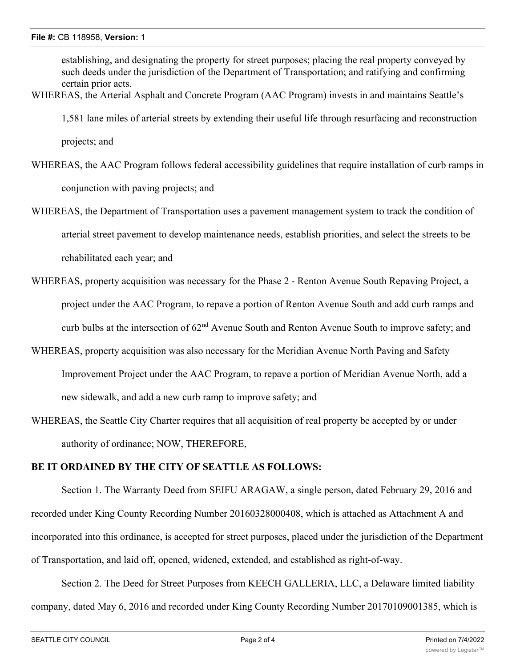establishing, and designating the property for street purposes; placing the real property conveyed by such deeds under the jurisdiction of the Department of Transportation; and ratifying and confirming certain prior acts.

WHEREAS, the Arterial Asphalt and Concrete Program (AAC Program) invests in and maintains Seattle's

1,581 lane miles of arterial streets by extending their useful life through resurfacing and reconstruction

projects; and

WHEREAS, the AAC Program follows federal accessibility guidelines that require installation of curb ramps in conjunction with paving projects; and

- WHEREAS, the Department of Transportation uses a pavement management system to track the condition of arterial street pavement to develop maintenance needs, establish priorities, and select the streets to be rehabilitated each year; and
- WHEREAS, property acquisition was necessary for the Phase 2 Renton Avenue South Repaving Project, a project under the AAC Program, to repave a portion of Renton Avenue South and add curb ramps and curb bulbs at the intersection of 62<sup>nd</sup> Avenue South and Renton Avenue South to improve safety; and
- WHEREAS, property acquisition was also necessary for the Meridian Avenue North Paving and Safety Improvement Project under the AAC Program, to repave a portion of Meridian Avenue North, add a new sidewalk, and add a new curb ramp to improve safety; and
- WHEREAS, the Seattle City Charter requires that all acquisition of real property be accepted by or under authority of ordinance; NOW, THEREFORE,

## **BE IT ORDAINED BY THE CITY OF SEATTLE AS FOLLOWS:**

Section 1. The Warranty Deed from SEIFU ARAGAW, a single person, dated February 29, 2016 and recorded under King County Recording Number 20160328000408, which is attached as Attachment A and incorporated into this ordinance, is accepted for street purposes, placed under the jurisdiction of the Department of Transportation, and laid off, opened, widened, extended, and established as right-of-way.

Section 2. The Deed for Street Purposes from KEECH GALLERIA, LLC, a Delaware limited liability company, dated May 6, 2016 and recorded under King County Recording Number 20170109001385, which is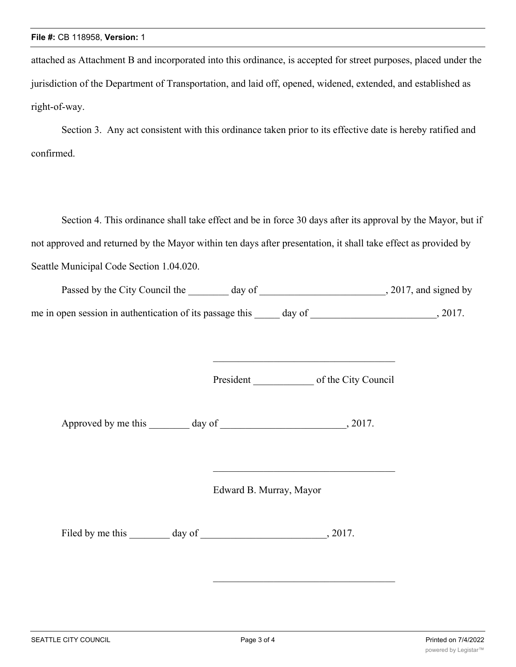attached as Attachment B and incorporated into this ordinance, is accepted for street purposes, placed under the jurisdiction of the Department of Transportation, and laid off, opened, widened, extended, and established as right-of-way.

Section 3. Any act consistent with this ordinance taken prior to its effective date is hereby ratified and confirmed.

Section 4. This ordinance shall take effect and be in force 30 days after its approval by the Mayor, but if not approved and returned by the Mayor within ten days after presentation, it shall take effect as provided by Seattle Municipal Code Section 1.04.020.

| Passed by the City Council the                           | day of |        | , 2017, and signed by |
|----------------------------------------------------------|--------|--------|-----------------------|
| me in open session in authentication of its passage this |        | day of | 2017.                 |

President of the City Council

\_\_\_\_\_\_\_\_\_\_\_\_\_\_\_\_\_\_\_\_\_\_\_\_\_\_\_\_\_\_\_\_\_\_\_\_

Approved by me this day of  $\qquad \qquad$ , 2017.

Edward B. Murray, Mayor

Filed by me this \_\_\_\_\_\_\_ day of \_\_\_\_\_\_\_\_\_\_\_\_\_\_\_\_\_\_\_\_\_\_\_\_\_\_, 2017.